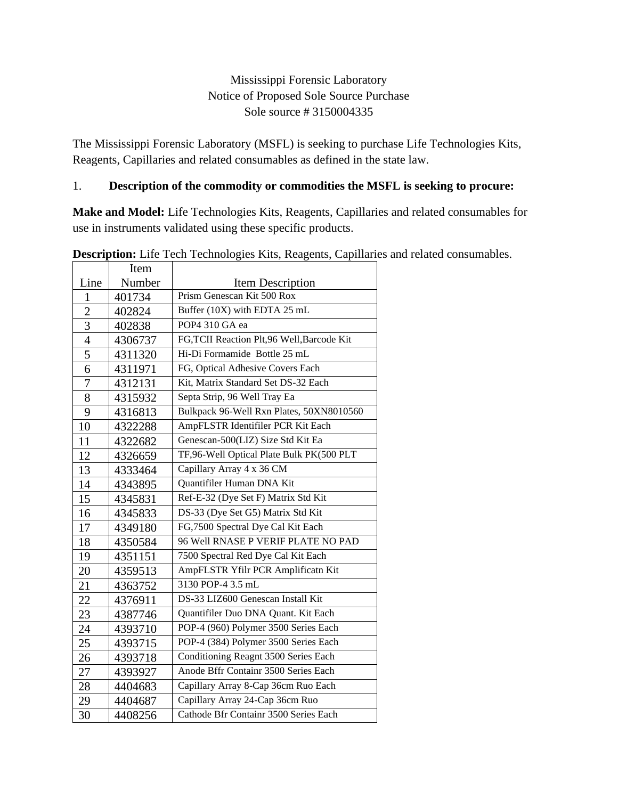# Mississippi Forensic Laboratory Notice of Proposed Sole Source Purchase Sole source # 3150004335

The Mississippi Forensic Laboratory (MSFL) is seeking to purchase Life Technologies Kits, Reagents, Capillaries and related consumables as defined in the state law.

#### 1. **Description of the commodity or commodities the MSFL is seeking to procure:**

**Make and Model:** Life Technologies Kits, Reagents, Capillaries and related consumables for use in instruments validated using these specific products.

|                | Item    | en Teenhologies Tins, Teagenis, Capmas    |
|----------------|---------|-------------------------------------------|
| Line           | Number  | <b>Item Description</b>                   |
| $\mathbf{1}$   | 401734  | Prism Genescan Kit 500 Rox                |
| $\overline{c}$ | 402824  | Buffer (10X) with EDTA 25 mL              |
| 3              | 402838  | POP4 310 GA ea                            |
| $\overline{4}$ | 4306737 | FG,TCII Reaction Plt,96 Well, Barcode Kit |
| $\overline{5}$ | 4311320 | Hi-Di Formamide Bottle 25 mL              |
| 6              | 4311971 | FG, Optical Adhesive Covers Each          |
| $\overline{7}$ | 4312131 | Kit, Matrix Standard Set DS-32 Each       |
| 8              | 4315932 | Septa Strip, 96 Well Tray Ea              |
| 9              | 4316813 | Bulkpack 96-Well Rxn Plates, 50XN8010560  |
| 10             | 4322288 | AmpFLSTR Identifiler PCR Kit Each         |
| 11             | 4322682 | Genescan-500(LIZ) Size Std Kit Ea         |
| 12             | 4326659 | TF,96-Well Optical Plate Bulk PK(500 PLT  |
| 13             | 4333464 | Capillary Array 4 x 36 CM                 |
| 14             | 4343895 | Quantifiler Human DNA Kit                 |
| 15             | 4345831 | Ref-E-32 (Dye Set F) Matrix Std Kit       |
| 16             | 4345833 | DS-33 (Dye Set G5) Matrix Std Kit         |
| 17             | 4349180 | FG,7500 Spectral Dye Cal Kit Each         |
| 18             | 4350584 | 96 Well RNASE P VERIF PLATE NO PAD        |
| 19             | 4351151 | 7500 Spectral Red Dye Cal Kit Each        |
| 20             | 4359513 | AmpFLSTR Yfilr PCR Amplificatn Kit        |
| 21             | 4363752 | 3130 POP-4 3.5 mL                         |
| 22             | 4376911 | DS-33 LIZ600 Genescan Install Kit         |
| 23             | 4387746 | Quantifiler Duo DNA Quant. Kit Each       |
| 24             | 4393710 | POP-4 (960) Polymer 3500 Series Each      |
| 25             | 4393715 | POP-4 (384) Polymer 3500 Series Each      |
| 26             | 4393718 | Conditioning Reagnt 3500 Series Each      |
| 27             | 4393927 | Anode Bffr Containr 3500 Series Each      |
| 28             | 4404683 | Capillary Array 8-Cap 36cm Ruo Each       |
| 29             | 4404687 | Capillary Array 24-Cap 36cm Ruo           |
| 30             | 4408256 | Cathode Bfr Containr 3500 Series Each     |

**Description:** Life Tech Technologies Kits, Reagents, Capillaries and related consumables.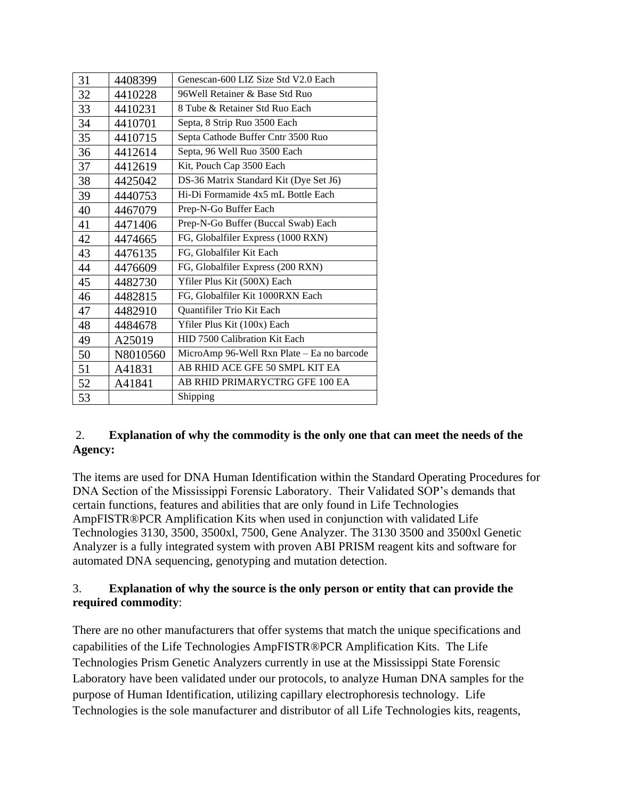| 31 | 4408399  | Genescan-600 LIZ Size Std V2.0 Each        |
|----|----------|--------------------------------------------|
| 32 | 4410228  | 96 Well Retainer & Base Std Ruo            |
| 33 | 4410231  | 8 Tube & Retainer Std Ruo Each             |
| 34 | 4410701  | Septa, 8 Strip Ruo 3500 Each               |
| 35 | 4410715  | Septa Cathode Buffer Cntr 3500 Ruo         |
| 36 | 4412614  | Septa, 96 Well Ruo 3500 Each               |
| 37 | 4412619  | Kit, Pouch Cap 3500 Each                   |
| 38 | 4425042  | DS-36 Matrix Standard Kit (Dye Set J6)     |
| 39 | 4440753  | Hi-Di Formamide 4x5 mL Bottle Each         |
| 40 | 4467079  | Prep-N-Go Buffer Each                      |
| 41 | 4471406  | Prep-N-Go Buffer (Buccal Swab) Each        |
| 42 | 4474665  | FG, Globalfiler Express (1000 RXN)         |
| 43 | 4476135  | FG, Globalfiler Kit Each                   |
| 44 | 4476609  | FG, Globalfiler Express (200 RXN)          |
| 45 | 4482730  | Yfiler Plus Kit (500X) Each                |
| 46 | 4482815  | FG, Globalfiler Kit 1000RXN Each           |
| 47 | 4482910  | Quantifiler Trio Kit Each                  |
| 48 | 4484678  | Yfiler Plus Kit (100x) Each                |
| 49 | A25019   | HID 7500 Calibration Kit Each              |
| 50 | N8010560 | MicroAmp 96-Well Rxn Plate – Ea no barcode |
| 51 | A41831   | AB RHID ACE GFE 50 SMPL KIT EA             |
| 52 | A41841   | AB RHID PRIMARYCTRG GFE 100 EA             |
| 53 |          | Shipping                                   |

#### 2. **Explanation of why the commodity is the only one that can meet the needs of the Agency:**

The items are used for DNA Human Identification within the Standard Operating Procedures for DNA Section of the Mississippi Forensic Laboratory. Their Validated SOP's demands that certain functions, features and abilities that are only found in Life Technologies AmpFISTR®PCR Amplification Kits when used in conjunction with validated Life Technologies 3130, 3500, 3500xl, 7500, Gene Analyzer. The 3130 3500 and 3500xl Genetic Analyzer is a fully integrated system with proven ABI PRISM reagent kits and software for automated DNA sequencing, genotyping and mutation detection.

### 3. **Explanation of why the source is the only person or entity that can provide the required commodity**:

There are no other manufacturers that offer systems that match the unique specifications and capabilities of the Life Technologies AmpFISTR®PCR Amplification Kits. The Life Technologies Prism Genetic Analyzers currently in use at the Mississippi State Forensic Laboratory have been validated under our protocols, to analyze Human DNA samples for the purpose of Human Identification, utilizing capillary electrophoresis technology. Life Technologies is the sole manufacturer and distributor of all Life Technologies kits, reagents,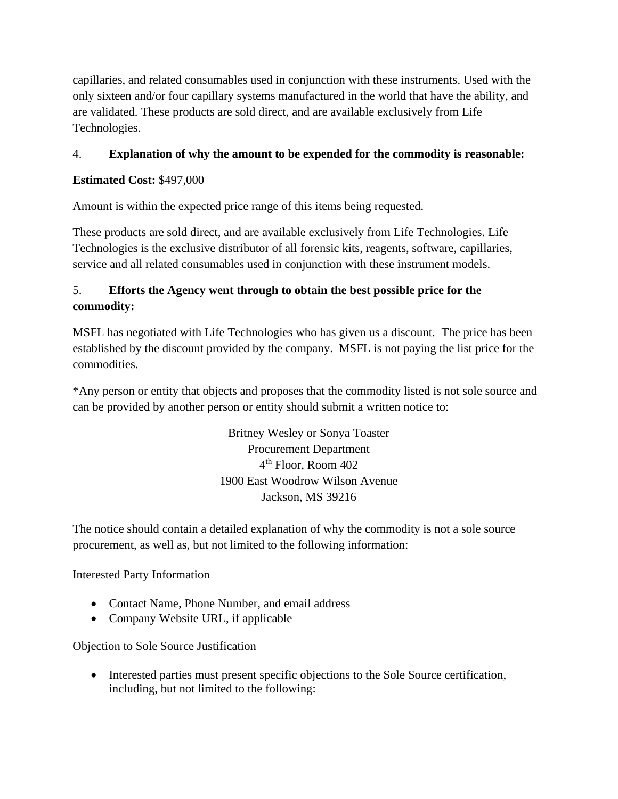capillaries, and related consumables used in conjunction with these instruments. Used with the only sixteen and/or four capillary systems manufactured in the world that have the ability, and are validated. These products are sold direct, and are available exclusively from Life Technologies.

# 4. **Explanation of why the amount to be expended for the commodity is reasonable:**

# **Estimated Cost:** \$497,000

Amount is within the expected price range of this items being requested.

These products are sold direct, and are available exclusively from Life Technologies. Life Technologies is the exclusive distributor of all forensic kits, reagents, software, capillaries, service and all related consumables used in conjunction with these instrument models.

# 5. **Efforts the Agency went through to obtain the best possible price for the commodity:**

MSFL has negotiated with Life Technologies who has given us a discount. The price has been established by the discount provided by the company. MSFL is not paying the list price for the commodities.

\*Any person or entity that objects and proposes that the commodity listed is not sole source and can be provided by another person or entity should submit a written notice to:

> Britney Wesley or Sonya Toaster Procurement Department 4 th Floor, Room 402 1900 East Woodrow Wilson Avenue Jackson, MS 39216

The notice should contain a detailed explanation of why the commodity is not a sole source procurement, as well as, but not limited to the following information:

### Interested Party Information

- Contact Name, Phone Number, and email address
- Company Website URL, if applicable

### Objection to Sole Source Justification

• Interested parties must present specific objections to the Sole Source certification, including, but not limited to the following: